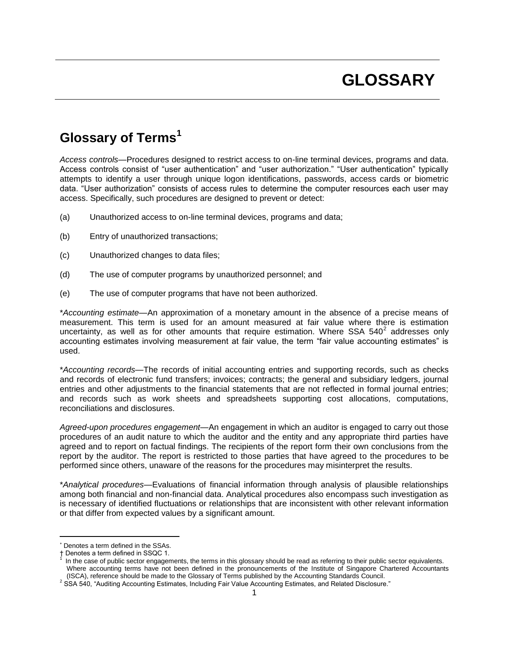# **GLOSSARY**

# **Glossary of Terms<sup>1</sup>**

*Access controls*—Procedures designed to restrict access to on-line terminal devices, programs and data. Access controls consist of "user authentication" and "user authorization." "User authentication" typically attempts to identify a user through unique logon identifications, passwords, access cards or biometric data. "User authorization" consists of access rules to determine the computer resources each user may access. Specifically, such procedures are designed to prevent or detect:

- (a) Unauthorized access to on-line terminal devices, programs and data;
- (b) Entry of unauthorized transactions;
- (c) Unauthorized changes to data files;
- (d) The use of computer programs by unauthorized personnel; and
- (e) The use of computer programs that have not been authorized.

\**Accounting estimate*—An approximation of a monetary amount in the absence of a precise means of measurement. This term is used for an amount measured at fair value where there is estimation uncertainty, as well as for other amounts that require estimation. Where SSA 540<sup>2</sup> addresses only accounting estimates involving measurement at fair value, the term "fair value accounting estimates" is used.

\**Accounting records*—The records of initial accounting entries and supporting records, such as checks and records of electronic fund transfers; invoices; contracts; the general and subsidiary ledgers, journal entries and other adjustments to the financial statements that are not reflected in formal journal entries; and records such as work sheets and spreadsheets supporting cost allocations, computations, reconciliations and disclosures.

*Agreed-upon procedures engagement*—An engagement in which an auditor is engaged to carry out those procedures of an audit nature to which the auditor and the entity and any appropriate third parties have agreed and to report on factual findings. The recipients of the report form their own conclusions from the report by the auditor. The report is restricted to those parties that have agreed to the procedures to be performed since others, unaware of the reasons for the procedures may misinterpret the results.

\**Analytical procedures*—Evaluations of financial information through analysis of plausible relationships among both financial and non-financial data. Analytical procedures also encompass such investigation as is necessary of identified fluctuations or relationships that are inconsistent with other relevant information or that differ from expected values by a significant amount.

Denotes a term defined in the SSAs.

<sup>†</sup> Denotes a term defined in SSQC 1. 1

In the case of public sector engagements, the terms in this glossary should be read as referring to their public sector equivalents. Where accounting terms have not been defined in the pronouncements of the Institute of Singapore Chartered Accountants (ISCA), reference should be made to the Glossary of Terms published by the Accounting Standards Council.

<sup>&</sup>lt;sup>2</sup> SSA 540, "Auditing Accounting Estimates, Including Fair Value Accounting Estimates, and Related Disclosure."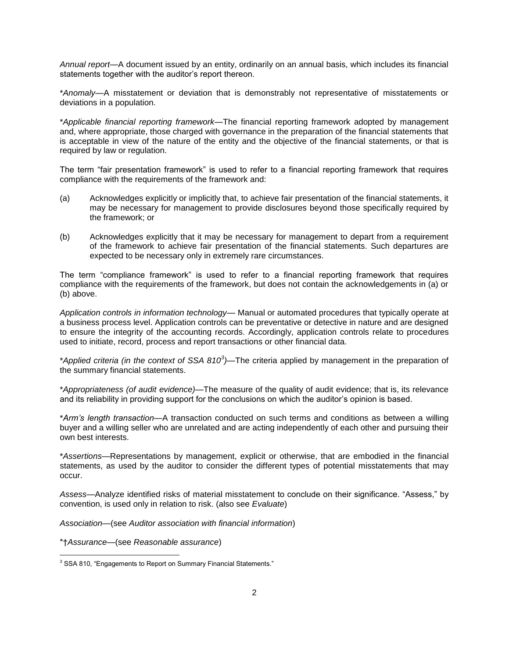*Annual report*—A document issued by an entity, ordinarily on an annual basis, which includes its financial statements together with the auditor's report thereon.

\**Anomaly*—A misstatement or deviation that is demonstrably not representative of misstatements or deviations in a population.

\**Applicable financial reporting framework*—The financial reporting framework adopted by management and, where appropriate, those charged with governance in the preparation of the financial statements that is acceptable in view of the nature of the entity and the objective of the financial statements, or that is required by law or regulation.

The term "fair presentation framework" is used to refer to a financial reporting framework that requires compliance with the requirements of the framework and:

- (a) Acknowledges explicitly or implicitly that, to achieve fair presentation of the financial statements, it may be necessary for management to provide disclosures beyond those specifically required by the framework; or
- (b) Acknowledges explicitly that it may be necessary for management to depart from a requirement of the framework to achieve fair presentation of the financial statements. Such departures are expected to be necessary only in extremely rare circumstances.

The term "compliance framework" is used to refer to a financial reporting framework that requires compliance with the requirements of the framework, but does not contain the acknowledgements in (a) or (b) above.

*Application controls in information technology*— Manual or automated procedures that typically operate at a business process level. Application controls can be preventative or detective in nature and are designed to ensure the integrity of the accounting records. Accordingly, application controls relate to procedures used to initiate, record, process and report transactions or other financial data.

\**Applied criteria (in the context of SSA 810<sup>3</sup>)—The criteria applied by management in the preparation of* the summary financial statements.

\**Appropriateness (of audit evidence)*—The measure of the quality of audit evidence; that is, its relevance and its reliability in providing support for the conclusions on which the auditor's opinion is based.

\**Arm's length transaction*—A transaction conducted on such terms and conditions as between a willing buyer and a willing seller who are unrelated and are acting independently of each other and pursuing their own best interests.

\**Assertions*—Representations by management, explicit or otherwise, that are embodied in the financial statements, as used by the auditor to consider the different types of potential misstatements that may occur.

*Assess*—Analyze identified risks of material misstatement to conclude on their significance. "Assess," by convention, is used only in relation to risk. (also see *Evaluate*)

*Association*—(see *Auditor association with financial information*)

\*†*Assurance*—(see *Reasonable assurance*)

<sup>&</sup>lt;sup>3</sup> SSA 810, "Engagements to Report on Summary Financial Statements."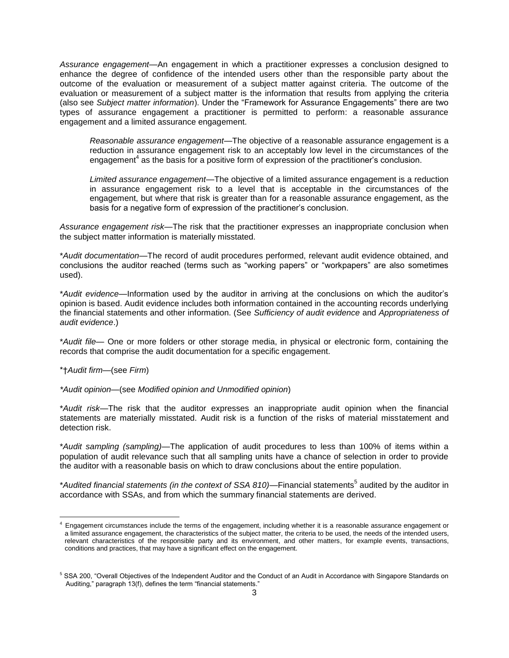*Assurance engagement*—An engagement in which a practitioner expresses a conclusion designed to enhance the degree of confidence of the intended users other than the responsible party about the outcome of the evaluation or measurement of a subject matter against criteria. The outcome of the evaluation or measurement of a subject matter is the information that results from applying the criteria (also see *Subject matter information*). Under the "Framework for Assurance Engagements" there are two types of assurance engagement a practitioner is permitted to perform: a reasonable assurance engagement and a limited assurance engagement.

*Reasonable assurance engagement*—The objective of a reasonable assurance engagement is a reduction in assurance engagement risk to an acceptably low level in the circumstances of the engagement<sup>4</sup> as the basis for a positive form of expression of the practitioner's conclusion.

*Limited assurance engagement*—The objective of a limited assurance engagement is a reduction in assurance engagement risk to a level that is acceptable in the circumstances of the engagement, but where that risk is greater than for a reasonable assurance engagement, as the basis for a negative form of expression of the practitioner's conclusion.

*Assurance engagement risk*—The risk that the practitioner expresses an inappropriate conclusion when the subject matter information is materially misstated.

\**Audit documentation*—The record of audit procedures performed, relevant audit evidence obtained, and conclusions the auditor reached (terms such as "working papers" or "workpapers" are also sometimes used).

\**Audit evidence*—Information used by the auditor in arriving at the conclusions on which the auditor's opinion is based. Audit evidence includes both information contained in the accounting records underlying the financial statements and other information. (See *Sufficiency of audit evidence* and *Appropriateness of audit evidence*.)

\**Audit file*— One or more folders or other storage media, in physical or electronic form, containing the records that comprise the audit documentation for a specific engagement.

\*†*Audit firm*—(see *Firm*)

 $\overline{a}$ 

*\*Audit opinion*—(see *Modified opinion and Unmodified opinion*)

\**Audit risk*—The risk that the auditor expresses an inappropriate audit opinion when the financial statements are materially misstated. Audit risk is a function of the risks of material misstatement and detection risk.

\**Audit sampling (sampling)*—The application of audit procedures to less than 100% of items within a population of audit relevance such that all sampling units have a chance of selection in order to provide the auditor with a reasonable basis on which to draw conclusions about the entire population.

\*Audited financial statements (in the context of SSA 810)—Financial statements<sup>5</sup> audited by the auditor in accordance with SSAs, and from which the summary financial statements are derived.

<sup>4</sup> Engagement circumstances include the terms of the engagement, including whether it is a reasonable assurance engagement or a limited assurance engagement, the characteristics of the subject matter, the criteria to be used, the needs of the intended users, relevant characteristics of the responsible party and its environment, and other matters, for example events, transactions, conditions and practices, that may have a significant effect on the engagement.

<sup>&</sup>lt;sup>5</sup> SSA 200, "Overall Objectives of the Independent Auditor and the Conduct of an Audit in Accordance with Singapore Standards on Auditing," paragraph 13(f), defines the term "financial statements."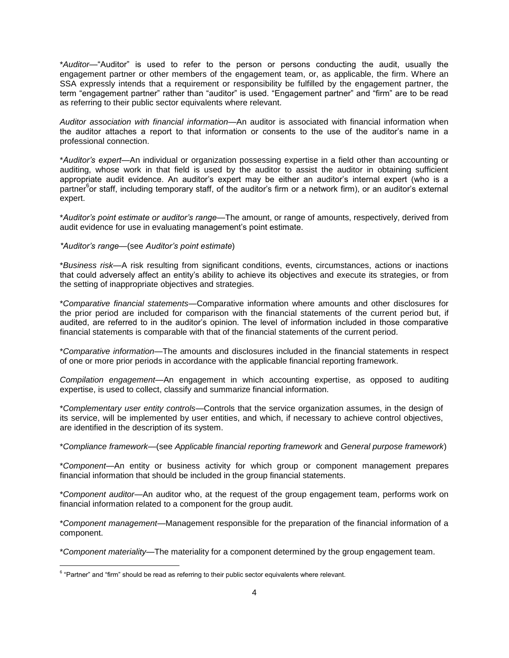\**Auditor*—"Auditor" is used to refer to the person or persons conducting the audit, usually the engagement partner or other members of the engagement team, or, as applicable, the firm. Where an SSA expressly intends that a requirement or responsibility be fulfilled by the engagement partner, the term "engagement partner" rather than "auditor" is used. "Engagement partner" and "firm" are to be read as referring to their public sector equivalents where relevant.

*Auditor association with financial information*—An auditor is associated with financial information when the auditor attaches a report to that information or consents to the use of the auditor's name in a professional connection.

\**Auditor's expert*—An individual or organization possessing expertise in a field other than accounting or auditing, whose work in that field is used by the auditor to assist the auditor in obtaining sufficient appropriate audit evidence. An auditor's expert may be either an auditor's internal expert (who is a partner<sup>6</sup>or staff, including temporary staff, of the auditor's firm or a network firm), or an auditor's external expert.

\**Auditor's point estimate or auditor's range*—The amount, or range of amounts, respectively, derived from audit evidence for use in evaluating management's point estimate.

## *\*Auditor's range*—(see *Auditor's point estimate*)

\**Business risk*—A risk resulting from significant conditions, events, circumstances, actions or inactions that could adversely affect an entity's ability to achieve its objectives and execute its strategies, or from the setting of inappropriate objectives and strategies.

\**Comparative financial statements*—Comparative information where amounts and other disclosures for the prior period are included for comparison with the financial statements of the current period but, if audited, are referred to in the auditor's opinion. The level of information included in those comparative financial statements is comparable with that of the financial statements of the current period.

\**Comparative information*—The amounts and disclosures included in the financial statements in respect of one or more prior periods in accordance with the applicable financial reporting framework.

*Compilation engagement*—An engagement in which accounting expertise, as opposed to auditing expertise, is used to collect, classify and summarize financial information.

\**Complementary user entity controls*—Controls that the service organization assumes, in the design of its service, will be implemented by user entities, and which, if necessary to achieve control objectives, are identified in the description of its system.

## \**Compliance framework*—(see *Applicable financial reporting framework* and *General purpose framework*)

\**Component*—An entity or business activity for which group or component management prepares financial information that should be included in the group financial statements.

\**Component auditor*—An auditor who, at the request of the group engagement team, performs work on financial information related to a component for the group audit.

\**Component management*—Management responsible for the preparation of the financial information of a component.

\**Component materiality*—The materiality for a component determined by the group engagement team.

<sup>&</sup>lt;sup>6</sup> "Partner" and "firm" should be read as referring to their public sector equivalents where relevant.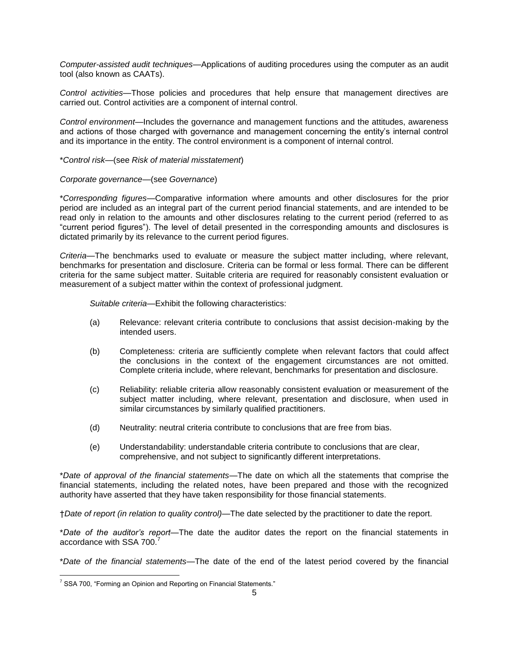*Computer-assisted audit techniques*—Applications of auditing procedures using the computer as an audit tool (also known as CAATs).

*Control activities*—Those policies and procedures that help ensure that management directives are carried out. Control activities are a component of internal control.

*Control environment*—Includes the governance and management functions and the attitudes, awareness and actions of those charged with governance and management concerning the entity's internal control and its importance in the entity. The control environment is a component of internal control.

# \**Control risk*—(see *Risk of material misstatement*)

# *Corporate governance*—(see *Governance*)

\**Corresponding figures*—Comparative information where amounts and other disclosures for the prior period are included as an integral part of the current period financial statements, and are intended to be read only in relation to the amounts and other disclosures relating to the current period (referred to as "current period figures"). The level of detail presented in the corresponding amounts and disclosures is dictated primarily by its relevance to the current period figures.

*Criteria*—The benchmarks used to evaluate or measure the subject matter including, where relevant, benchmarks for presentation and disclosure. Criteria can be formal or less formal. There can be different criteria for the same subject matter. Suitable criteria are required for reasonably consistent evaluation or measurement of a subject matter within the context of professional judgment.

*Suitable criteria*—Exhibit the following characteristics:

- (a) Relevance: relevant criteria contribute to conclusions that assist decision-making by the intended users.
- (b) Completeness: criteria are sufficiently complete when relevant factors that could affect the conclusions in the context of the engagement circumstances are not omitted. Complete criteria include, where relevant, benchmarks for presentation and disclosure.
- (c) Reliability: reliable criteria allow reasonably consistent evaluation or measurement of the subject matter including, where relevant, presentation and disclosure, when used in similar circumstances by similarly qualified practitioners.
- (d) Neutrality: neutral criteria contribute to conclusions that are free from bias.
- (e) Understandability: understandable criteria contribute to conclusions that are clear, comprehensive, and not subject to significantly different interpretations.

\**Date of approval of the financial statements*—The date on which all the statements that comprise the financial statements, including the related notes, have been prepared and those with the recognized authority have asserted that they have taken responsibility for those financial statements.

†*Date of report (in relation to quality control)*—The date selected by the practitioner to date the report.

\**Date of the auditor's report*—The date the auditor dates the report on the financial statements in accordance with SSA 700.<sup>7</sup>

\**Date of the financial statements*—The date of the end of the latest period covered by the financial

 $7$  SSA 700, "Forming an Opinion and Reporting on Financial Statements."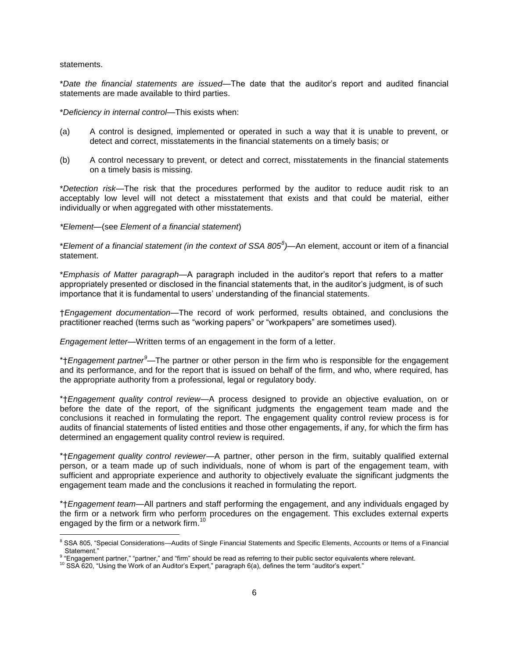#### statements.

 $\overline{a}$ 

\**Date the financial statements are issued*—The date that the auditor's report and audited financial statements are made available to third parties.

\**Deficiency in internal control*—This exists when:

- (a) A control is designed, implemented or operated in such a way that it is unable to prevent, or detect and correct, misstatements in the financial statements on a timely basis; or
- (b) A control necessary to prevent, or detect and correct, misstatements in the financial statements on a timely basis is missing.

\**Detection risk*—The risk that the procedures performed by the auditor to reduce audit risk to an acceptably low level will not detect a misstatement that exists and that could be material, either individually or when aggregated with other misstatements.

*\*Element*—(see *Element of a financial statement*)

\**Element of a financial statement (in the context of SSA 805<sup>8</sup> )*—An element, account or item of a financial statement.

\**Emphasis of Matter paragraph—*A paragraph included in the auditor's report that refers to a matter appropriately presented or disclosed in the financial statements that, in the auditor's judgment, is of such importance that it is fundamental to users' understanding of the financial statements.

†*Engagement documentation*—The record of work performed, results obtained, and conclusions the practitioner reached (terms such as "working papers" or "workpapers" are sometimes used).

*Engagement letter*—Written terms of an engagement in the form of a letter.

\*†*Engagement partner<sup>9</sup>*—The partner or other person in the firm who is responsible for the engagement and its performance, and for the report that is issued on behalf of the firm, and who, where required, has the appropriate authority from a professional, legal or regulatory body.

\*†*Engagement quality control review*—A process designed to provide an objective evaluation, on or before the date of the report, of the significant judgments the engagement team made and the conclusions it reached in formulating the report. The engagement quality control review process is for audits of financial statements of listed entities and those other engagements, if any, for which the firm has determined an engagement quality control review is required.

\*†*Engagement quality control reviewer*—A partner, other person in the firm, suitably qualified external person, or a team made up of such individuals, none of whom is part of the engagement team, with sufficient and appropriate experience and authority to objectively evaluate the significant judgments the engagement team made and the conclusions it reached in formulating the report.

\*†*Engagement team*—All partners and staff performing the engagement, and any individuals engaged by the firm or a network firm who perform procedures on the engagement. This excludes external experts engaged by the firm or a network firm.<sup>10</sup>

<sup>&</sup>lt;sup>8</sup> SSA 805, "Special Considerations—Audits of Single Financial Statements and Specific Elements, Accounts or Items of a Financial Statement."

<sup>&</sup>lt;sup>9</sup> "Engagement partner," "partner," and "firm" should be read as referring to their public sector equivalents where relevant.

<sup>&</sup>lt;sup>10</sup> SSA 620, "Using the Work of an Auditor's Expert," paragraph 6(a), defines the term "auditor's expert."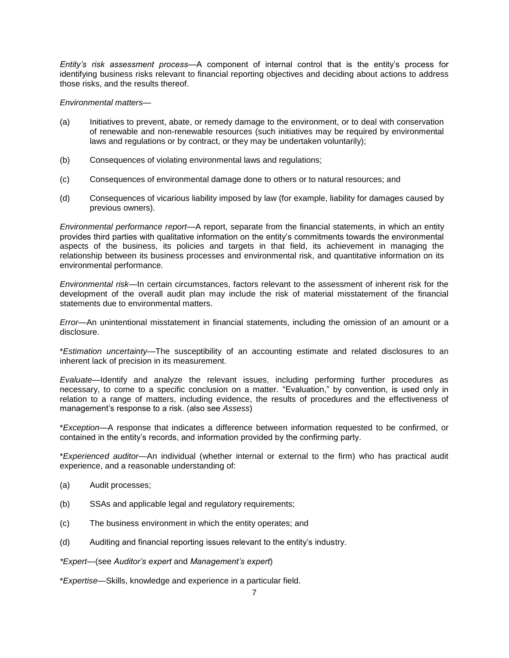*Entity's risk assessment process*—A component of internal control that is the entity's process for identifying business risks relevant to financial reporting objectives and deciding about actions to address those risks, and the results thereof.

*Environmental matters*—

- (a) Initiatives to prevent, abate, or remedy damage to the environment, or to deal with conservation of renewable and non-renewable resources (such initiatives may be required by environmental laws and regulations or by contract, or they may be undertaken voluntarily);
- (b) Consequences of violating environmental laws and regulations;
- (c) Consequences of environmental damage done to others or to natural resources; and
- (d) Consequences of vicarious liability imposed by law (for example, liability for damages caused by previous owners).

*Environmental performance report*—A report, separate from the financial statements, in which an entity provides third parties with qualitative information on the entity's commitments towards the environmental aspects of the business, its policies and targets in that field, its achievement in managing the relationship between its business processes and environmental risk, and quantitative information on its environmental performance.

*Environmental risk*—In certain circumstances, factors relevant to the assessment of inherent risk for the development of the overall audit plan may include the risk of material misstatement of the financial statements due to environmental matters.

*Error*—An unintentional misstatement in financial statements, including the omission of an amount or a disclosure.

\**Estimation uncertainty*—The susceptibility of an accounting estimate and related disclosures to an inherent lack of precision in its measurement.

*Evaluate*—Identify and analyze the relevant issues, including performing further procedures as necessary, to come to a specific conclusion on a matter. "Evaluation," by convention, is used only in relation to a range of matters, including evidence, the results of procedures and the effectiveness of management's response to a risk. (also see *Assess*)

\**Exception*—A response that indicates a difference between information requested to be confirmed, or contained in the entity's records, and information provided by the confirming party.

\**Experienced auditor*—An individual (whether internal or external to the firm) who has practical audit experience, and a reasonable understanding of:

- (a) Audit processes;
- (b) SSAs and applicable legal and regulatory requirements;
- (c) The business environment in which the entity operates; and
- (d) Auditing and financial reporting issues relevant to the entity's industry.

*\*Expert*—(see *Auditor's expert* and *Management's expert*)

\**Expertise*—Skills, knowledge and experience in a particular field.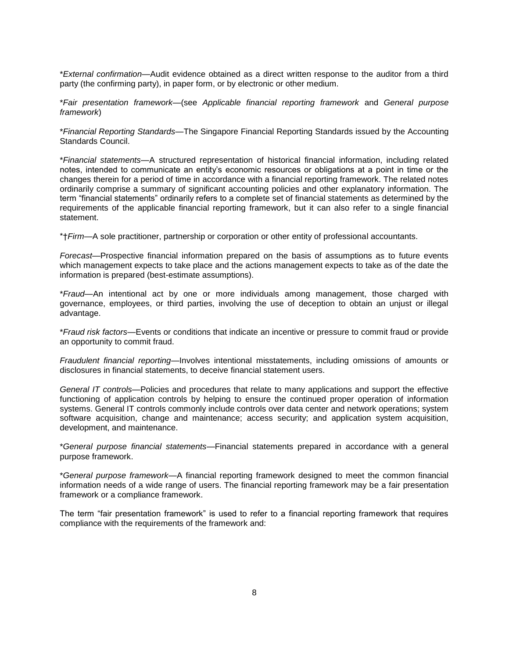\**External confirmation*—Audit evidence obtained as a direct written response to the auditor from a third party (the confirming party), in paper form, or by electronic or other medium.

\**Fair presentation framework*—(see *Applicable financial reporting framework* and *General purpose framework*)

\**Financial Reporting Standards*—The Singapore Financial Reporting Standards issued by the Accounting Standards Council.

\**Financial statements*—A structured representation of historical financial information, including related notes, intended to communicate an entity's economic resources or obligations at a point in time or the changes therein for a period of time in accordance with a financial reporting framework. The related notes ordinarily comprise a summary of significant accounting policies and other explanatory information. The term "financial statements" ordinarily refers to a complete set of financial statements as determined by the requirements of the applicable financial reporting framework, but it can also refer to a single financial statement.

\*†*Firm*—A sole practitioner, partnership or corporation or other entity of professional accountants.

*Forecast*—Prospective financial information prepared on the basis of assumptions as to future events which management expects to take place and the actions management expects to take as of the date the information is prepared (best-estimate assumptions).

\**Fraud*—An intentional act by one or more individuals among management, those charged with governance, employees, or third parties, involving the use of deception to obtain an unjust or illegal advantage.

\**Fraud risk factors*—Events or conditions that indicate an incentive or pressure to commit fraud or provide an opportunity to commit fraud.

*Fraudulent financial reporting*—Involves intentional misstatements, including omissions of amounts or disclosures in financial statements, to deceive financial statement users.

*General IT controls*—Policies and procedures that relate to many applications and support the effective functioning of application controls by helping to ensure the continued proper operation of information systems. General IT controls commonly include controls over data center and network operations; system software acquisition, change and maintenance; access security; and application system acquisition, development, and maintenance.

\**General purpose financial statements*—Financial statements prepared in accordance with a general purpose framework.

\**General purpose framework*—A financial reporting framework designed to meet the common financial information needs of a wide range of users. The financial reporting framework may be a fair presentation framework or a compliance framework.

The term "fair presentation framework" is used to refer to a financial reporting framework that requires compliance with the requirements of the framework and: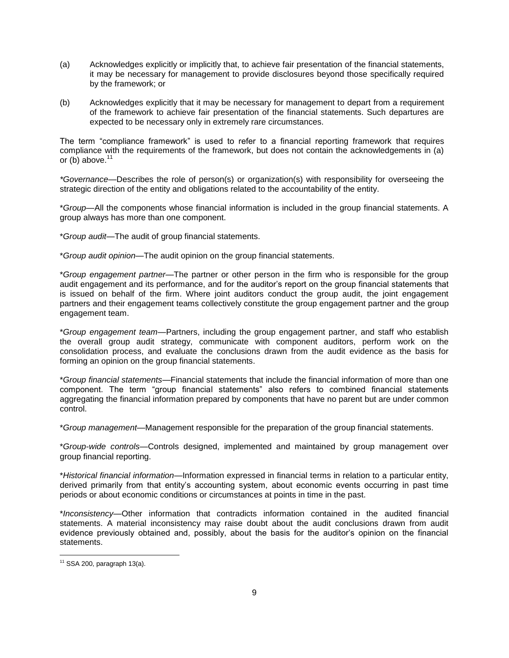- (a) Acknowledges explicitly or implicitly that, to achieve fair presentation of the financial statements, it may be necessary for management to provide disclosures beyond those specifically required by the framework; or
- (b) Acknowledges explicitly that it may be necessary for management to depart from a requirement of the framework to achieve fair presentation of the financial statements. Such departures are expected to be necessary only in extremely rare circumstances.

The term "compliance framework" is used to refer to a financial reporting framework that requires compliance with the requirements of the framework, but does not contain the acknowledgements in (a) or (b) above. $11$ 

*\*Governance*—Describes the role of person(s) or organization(s) with responsibility for overseeing the strategic direction of the entity and obligations related to the accountability of the entity.

\**Group*—All the components whose financial information is included in the group financial statements. A group always has more than one component.

\**Group audit*—The audit of group financial statements.

\**Group audit opinion*—The audit opinion on the group financial statements.

\**Group engagement partner*—The partner or other person in the firm who is responsible for the group audit engagement and its performance, and for the auditor's report on the group financial statements that is issued on behalf of the firm. Where joint auditors conduct the group audit, the joint engagement partners and their engagement teams collectively constitute the group engagement partner and the group engagement team.

\**Group engagement team*—Partners, including the group engagement partner, and staff who establish the overall group audit strategy, communicate with component auditors, perform work on the consolidation process, and evaluate the conclusions drawn from the audit evidence as the basis for forming an opinion on the group financial statements.

\**Group financial statements*—Financial statements that include the financial information of more than one component. The term "group financial statements" also refers to combined financial statements aggregating the financial information prepared by components that have no parent but are under common control.

\**Group management*—Management responsible for the preparation of the group financial statements.

\**Group-wide controls*—Controls designed, implemented and maintained by group management over group financial reporting.

\**Historical financial information*—Information expressed in financial terms in relation to a particular entity, derived primarily from that entity's accounting system, about economic events occurring in past time periods or about economic conditions or circumstances at points in time in the past.

\**Inconsistency*—Other information that contradicts information contained in the audited financial statements. A material inconsistency may raise doubt about the audit conclusions drawn from audit evidence previously obtained and, possibly, about the basis for the auditor's opinion on the financial statements.

 $11$  SSA 200, paragraph 13(a).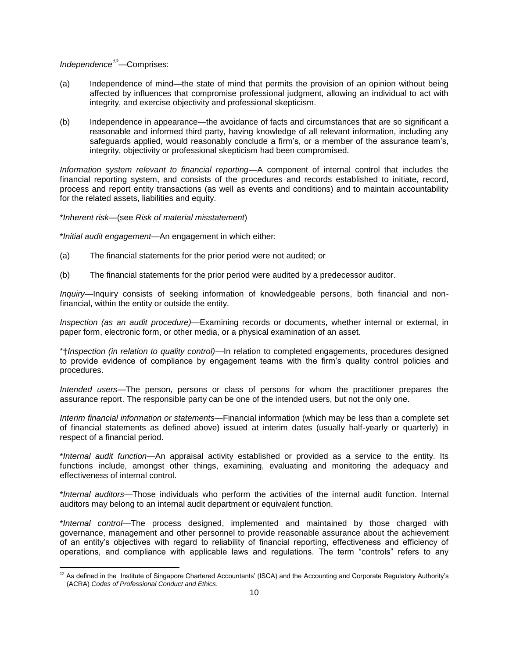*Independence<sup>12</sup>*—Comprises:

- (a) Independence of mind—the state of mind that permits the provision of an opinion without being affected by influences that compromise professional judgment, allowing an individual to act with integrity, and exercise objectivity and professional skepticism.
- (b) Independence in appearance—the avoidance of facts and circumstances that are so significant a reasonable and informed third party, having knowledge of all relevant information, including any safeguards applied, would reasonably conclude a firm's, or a member of the assurance team's, integrity, objectivity or professional skepticism had been compromised.

*Information system relevant to financial reporting*—A component of internal control that includes the financial reporting system, and consists of the procedures and records established to initiate, record, process and report entity transactions (as well as events and conditions) and to maintain accountability for the related assets, liabilities and equity.

\**Inherent risk*—(see *Risk of material misstatement*)

\**Initial audit engagement*—An engagement in which either:

- (a) The financial statements for the prior period were not audited; or
- (b) The financial statements for the prior period were audited by a predecessor auditor.

*Inquiry*—Inquiry consists of seeking information of knowledgeable persons, both financial and nonfinancial, within the entity or outside the entity.

*Inspection (as an audit procedure)*—Examining records or documents, whether internal or external, in paper form, electronic form, or other media, or a physical examination of an asset.

\*†*Inspection (in relation to quality control)*—In relation to completed engagements, procedures designed to provide evidence of compliance by engagement teams with the firm's quality control policies and procedures.

*Intended users*—The person, persons or class of persons for whom the practitioner prepares the assurance report. The responsible party can be one of the intended users, but not the only one.

*Interim financial information or statements*—Financial information (which may be less than a complete set of financial statements as defined above) issued at interim dates (usually half-yearly or quarterly) in respect of a financial period.

\**Internal audit function*—An appraisal activity established or provided as a service to the entity. Its functions include, amongst other things, examining, evaluating and monitoring the adequacy and effectiveness of internal control.

\**Internal auditors*—Those individuals who perform the activities of the internal audit function. Internal auditors may belong to an internal audit department or equivalent function.

\**Internal control*—The process designed, implemented and maintained by those charged with governance, management and other personnel to provide reasonable assurance about the achievement of an entity's objectives with regard to reliability of financial reporting, effectiveness and efficiency of operations, and compliance with applicable laws and regulations. The term "controls" refers to any

 $\overline{a}$  $12$  As defined in the Institute of Singapore Chartered Accountants' (ISCA) and the Accounting and Corporate Regulatory Authority's (ACRA) *Codes of Professional Conduct and Ethics*.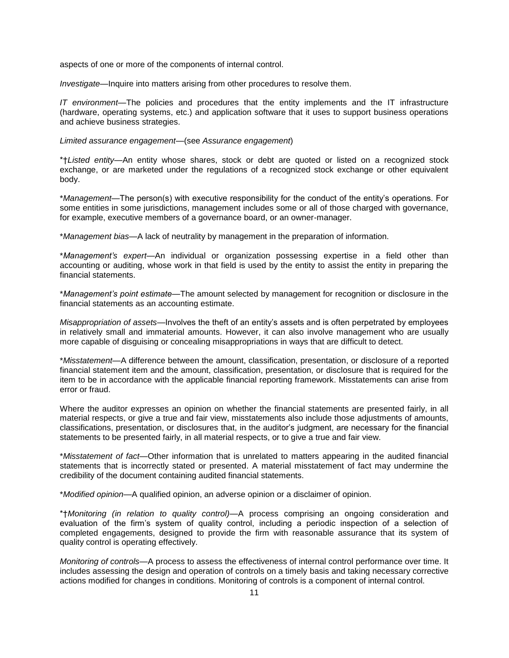aspects of one or more of the components of internal control.

*Investigate*—Inquire into matters arising from other procedures to resolve them.

*IT environment*—The policies and procedures that the entity implements and the IT infrastructure (hardware, operating systems, etc.) and application software that it uses to support business operations and achieve business strategies.

## *Limited assurance engagement*—(see *Assurance engagement*)

\*†*Listed entity*—An entity whose shares, stock or debt are quoted or listed on a recognized stock exchange, or are marketed under the regulations of a recognized stock exchange or other equivalent body.

\**Management*—The person(s) with executive responsibility for the conduct of the entity's operations. For some entities in some jurisdictions, management includes some or all of those charged with governance, for example, executive members of a governance board, or an owner-manager.

\**Management bias*—A lack of neutrality by management in the preparation of information.

\**Management's expert*—An individual or organization possessing expertise in a field other than accounting or auditing, whose work in that field is used by the entity to assist the entity in preparing the financial statements.

\**Management's point estimate*—The amount selected by management for recognition or disclosure in the financial statements as an accounting estimate.

*Misappropriation of assets*—Involves the theft of an entity's assets and is often perpetrated by employees in relatively small and immaterial amounts. However, it can also involve management who are usually more capable of disguising or concealing misappropriations in ways that are difficult to detect.

\**Misstatement*—A difference between the amount, classification, presentation, or disclosure of a reported financial statement item and the amount, classification, presentation, or disclosure that is required for the item to be in accordance with the applicable financial reporting framework. Misstatements can arise from error or fraud.

Where the auditor expresses an opinion on whether the financial statements are presented fairly, in all material respects, or give a true and fair view, misstatements also include those adjustments of amounts, classifications, presentation, or disclosures that, in the auditor's judgment, are necessary for the financial statements to be presented fairly, in all material respects, or to give a true and fair view.

\**Misstatement of fact*—Other information that is unrelated to matters appearing in the audited financial statements that is incorrectly stated or presented. A material misstatement of fact may undermine the credibility of the document containing audited financial statements.

\**Modified opinion*—A qualified opinion, an adverse opinion or a disclaimer of opinion.

\*†*Monitoring (in relation to quality control)*—A process comprising an ongoing consideration and evaluation of the firm's system of quality control, including a periodic inspection of a selection of completed engagements, designed to provide the firm with reasonable assurance that its system of quality control is operating effectively.

*Monitoring of controls*—A process to assess the effectiveness of internal control performance over time. It includes assessing the design and operation of controls on a timely basis and taking necessary corrective actions modified for changes in conditions. Monitoring of controls is a component of internal control.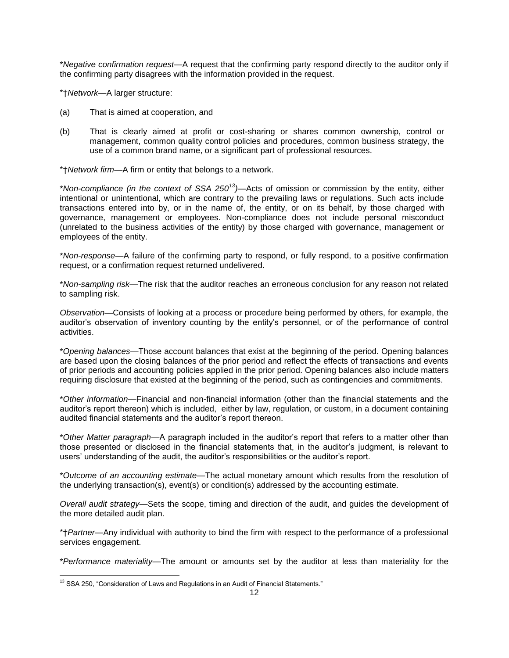\**Negative confirmation request*—A request that the confirming party respond directly to the auditor only if the confirming party disagrees with the information provided in the request.

\*†*Network*—A larger structure:

- (a) That is aimed at cooperation, and
- (b) That is clearly aimed at profit or cost-sharing or shares common ownership, control or management, common quality control policies and procedures, common business strategy, the use of a common brand name, or a significant part of professional resources.

\*†*Network firm*—A firm or entity that belongs to a network.

\**Non-compliance (in the context of SSA 250<sup>13</sup>)*—Acts of omission or commission by the entity, either intentional or unintentional, which are contrary to the prevailing laws or regulations. Such acts include transactions entered into by, or in the name of, the entity, or on its behalf, by those charged with governance, management or employees. Non-compliance does not include personal misconduct (unrelated to the business activities of the entity) by those charged with governance, management or employees of the entity.

\**Non-response*—A failure of the confirming party to respond, or fully respond, to a positive confirmation request, or a confirmation request returned undelivered.

\**Non-sampling risk*—The risk that the auditor reaches an erroneous conclusion for any reason not related to sampling risk.

*Observation*—Consists of looking at a process or procedure being performed by others, for example, the auditor's observation of inventory counting by the entity's personnel, or of the performance of control activities.

\**Opening balances*—Those account balances that exist at the beginning of the period. Opening balances are based upon the closing balances of the prior period and reflect the effects of transactions and events of prior periods and accounting policies applied in the prior period. Opening balances also include matters requiring disclosure that existed at the beginning of the period, such as contingencies and commitments.

\**Other information*—Financial and non-financial information (other than the financial statements and the auditor's report thereon) which is included, either by law, regulation, or custom, in a document containing audited financial statements and the auditor's report thereon.

\**Other Matter paragraph*—A paragraph included in the auditor's report that refers to a matter other than those presented or disclosed in the financial statements that, in the auditor's judgment, is relevant to users' understanding of the audit, the auditor's responsibilities or the auditor's report.

\**Outcome of an accounting estimate*—The actual monetary amount which results from the resolution of the underlying transaction(s), event(s) or condition(s) addressed by the accounting estimate.

*Overall audit strategy*—Sets the scope, timing and direction of the audit, and guides the development of the more detailed audit plan.

\*†*Partner*—Any individual with authority to bind the firm with respect to the performance of a professional services engagement.

\**Performance materiality*—The amount or amounts set by the auditor at less than materiality for the

 $13$  SSA 250, "Consideration of Laws and Regulations in an Audit of Financial Statements."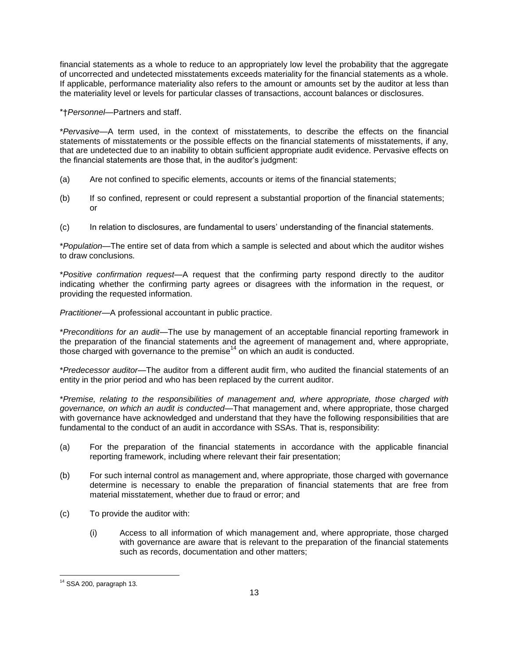financial statements as a whole to reduce to an appropriately low level the probability that the aggregate of uncorrected and undetected misstatements exceeds materiality for the financial statements as a whole. If applicable, performance materiality also refers to the amount or amounts set by the auditor at less than the materiality level or levels for particular classes of transactions, account balances or disclosures.

\*†*Personnel*—Partners and staff.

\**Pervasive*—A term used, in the context of misstatements, to describe the effects on the financial statements of misstatements or the possible effects on the financial statements of misstatements, if any, that are undetected due to an inability to obtain sufficient appropriate audit evidence. Pervasive effects on the financial statements are those that, in the auditor's judgment:

- (a) Are not confined to specific elements, accounts or items of the financial statements;
- (b) If so confined, represent or could represent a substantial proportion of the financial statements; or
- (c) In relation to disclosures, are fundamental to users' understanding of the financial statements.

\**Population—*The entire set of data from which a sample is selected and about which the auditor wishes to draw conclusions*.* 

\**Positive confirmation request*—A request that the confirming party respond directly to the auditor indicating whether the confirming party agrees or disagrees with the information in the request, or providing the requested information.

*Practitioner*—A professional accountant in public practice.

\**Preconditions for an audit*—The use by management of an acceptable financial reporting framework in the preparation of the financial statements and the agreement of management and, where appropriate, those charged with governance to the premise $14$  on which an audit is conducted.

\**Predecessor auditor*—The auditor from a different audit firm, who audited the financial statements of an entity in the prior period and who has been replaced by the current auditor.

\**Premise, relating to the responsibilities of management and, where appropriate, those charged with governance, on which an audit is conducted*—That management and, where appropriate, those charged with governance have acknowledged and understand that they have the following responsibilities that are fundamental to the conduct of an audit in accordance with SSAs. That is, responsibility:

- (a) For the preparation of the financial statements in accordance with the applicable financial reporting framework, including where relevant their fair presentation;
- (b) For such internal control as management and, where appropriate, those charged with governance determine is necessary to enable the preparation of financial statements that are free from material misstatement, whether due to fraud or error; and
- (c) To provide the auditor with:
	- (i) Access to all information of which management and, where appropriate, those charged with governance are aware that is relevant to the preparation of the financial statements such as records, documentation and other matters;

 $14$  SSA 200, paragraph 13.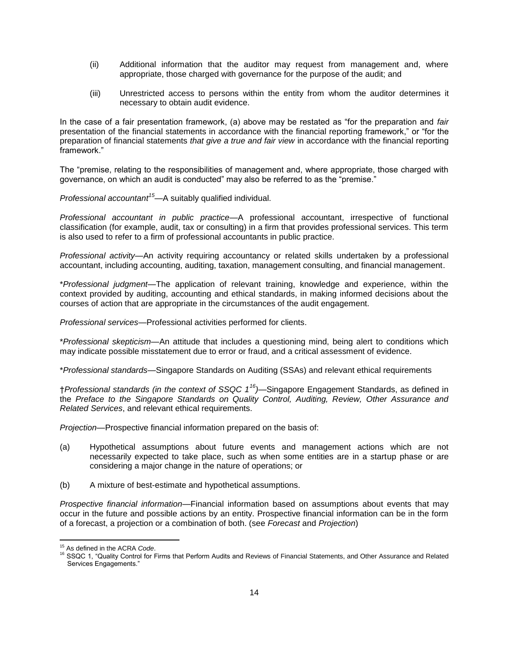- (ii) Additional information that the auditor may request from management and, where appropriate, those charged with governance for the purpose of the audit; and
- (iii) Unrestricted access to persons within the entity from whom the auditor determines it necessary to obtain audit evidence.

In the case of a fair presentation framework, (a) above may be restated as "for the preparation and *fair*  presentation of the financial statements in accordance with the financial reporting framework," or "for the preparation of financial statements *that give a true and fair view* in accordance with the financial reporting framework."

The "premise, relating to the responsibilities of management and, where appropriate, those charged with governance, on which an audit is conducted" may also be referred to as the "premise."

*Professional accountant<sup>15</sup>*—A suitably qualified individual.

*Professional accountant in public practice*—A professional accountant, irrespective of functional classification (for example, audit, tax or consulting) in a firm that provides professional services. This term is also used to refer to a firm of professional accountants in public practice.

*Professional activity*—An activity requiring accountancy or related skills undertaken by a professional accountant, including accounting, auditing, taxation, management consulting, and financial management.

\**Professional judgment*—The application of relevant training, knowledge and experience, within the context provided by auditing, accounting and ethical standards, in making informed decisions about the courses of action that are appropriate in the circumstances of the audit engagement.

*Professional services*—Professional activities performed for clients.

\**Professional skepticism*—An attitude that includes a questioning mind, being alert to conditions which may indicate possible misstatement due to error or fraud, and a critical assessment of evidence.

\**Professional standards*—Singapore Standards on Auditing (SSAs) and relevant ethical requirements

†*Professional standards (in the context of SSQC 1<sup>16</sup>)*—Singapore Engagement Standards, as defined in the *Preface to the Singapore Standards on Quality Control, Auditing, Review, Other Assurance and Related Services*, and relevant ethical requirements.

*Projection*—Prospective financial information prepared on the basis of:

- (a) Hypothetical assumptions about future events and management actions which are not necessarily expected to take place, such as when some entities are in a startup phase or are considering a major change in the nature of operations; or
- (b) A mixture of best-estimate and hypothetical assumptions.

*Prospective financial information*—Financial information based on assumptions about events that may occur in the future and possible actions by an entity. Prospective financial information can be in the form of a forecast, a projection or a combination of both. (see *Forecast* and *Projection*)

<sup>15</sup> As defined in the ACRA *Code*.

<sup>&</sup>lt;sup>16</sup> SSQC 1, "Quality Control for Firms that Perform Audits and Reviews of Financial Statements, and Other Assurance and Related Services Engagements."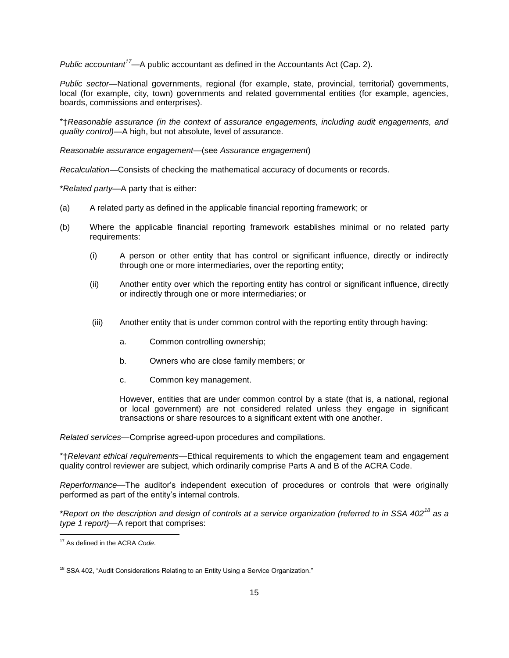*Public accountant<sup>17</sup>*—A public accountant as defined in the Accountants Act (Cap. 2).

*Public sector*—National governments, regional (for example, state, provincial, territorial) governments, local (for example, city, town) governments and related governmental entities (for example, agencies, boards, commissions and enterprises).

\*†*Reasonable assurance (in the context of assurance engagements, including audit engagements, and quality control)—*A high, but not absolute, level of assurance.

*Reasonable assurance engagement*—(see *Assurance engagement*)

*Recalculation*—Consists of checking the mathematical accuracy of documents or records.

\**Related party*—A party that is either:

- (a) A related party as defined in the applicable financial reporting framework; or
- (b) Where the applicable financial reporting framework establishes minimal or no related party requirements:
	- (i) A person or other entity that has control or significant influence, directly or indirectly through one or more intermediaries, over the reporting entity;
	- (ii) Another entity over which the reporting entity has control or significant influence, directly or indirectly through one or more intermediaries; or
	- (iii) Another entity that is under common control with the reporting entity through having:
		- a. Common controlling ownership;
		- b. Owners who are close family members; or
		- c. Common key management.

However, entities that are under common control by a state (that is, a national, regional or local government) are not considered related unless they engage in significant transactions or share resources to a significant extent with one another.

*Related services*—Comprise agreed-upon procedures and compilations.

\*†*Relevant ethical requirements*—Ethical requirements to which the engagement team and engagement quality control reviewer are subject, which ordinarily comprise Parts A and B of the ACRA Code.

*Reperformance*—The auditor's independent execution of procedures or controls that were originally performed as part of the entity's internal controls.

\**Report on the description and design of controls at a service organization (referred to in SSA 402<sup>18</sup> as a type 1 report)*—A report that comprises:

<sup>17</sup> As defined in the ACRA *Code*.

<sup>&</sup>lt;sup>18</sup> SSA 402, "Audit Considerations Relating to an Entity Using a Service Organization."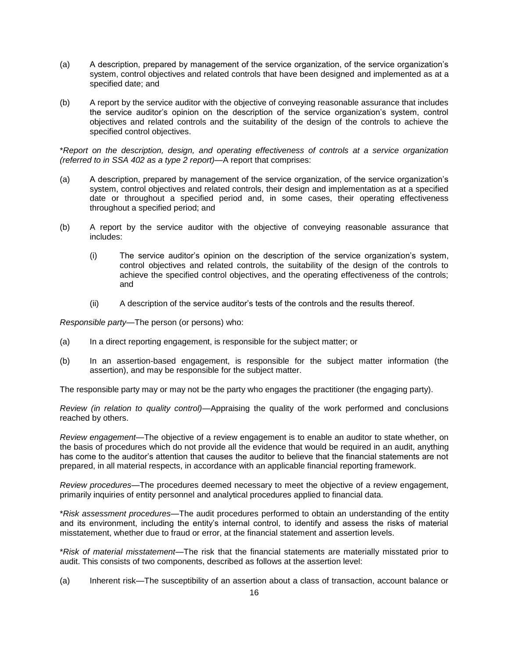- (a) A description, prepared by management of the service organization, of the service organization's system, control objectives and related controls that have been designed and implemented as at a specified date; and
- (b) A report by the service auditor with the objective of conveying reasonable assurance that includes the service auditor's opinion on the description of the service organization's system, control objectives and related controls and the suitability of the design of the controls to achieve the specified control objectives.

\**Report on the description, design, and operating effectiveness of controls at a service organization (referred to in SSA 402 as a type 2 report)*—A report that comprises:

- (a) A description, prepared by management of the service organization, of the service organization's system, control objectives and related controls, their design and implementation as at a specified date or throughout a specified period and, in some cases, their operating effectiveness throughout a specified period; and
- (b) A report by the service auditor with the objective of conveying reasonable assurance that includes:
	- (i) The service auditor's opinion on the description of the service organization's system, control objectives and related controls, the suitability of the design of the controls to achieve the specified control objectives, and the operating effectiveness of the controls; and
	- (ii) A description of the service auditor's tests of the controls and the results thereof.

*Responsible party*—The person (or persons) who:

- (a) In a direct reporting engagement, is responsible for the subject matter; or
- (b) In an assertion-based engagement, is responsible for the subject matter information (the assertion), and may be responsible for the subject matter.

The responsible party may or may not be the party who engages the practitioner (the engaging party).

*Review (in relation to quality control)*—Appraising the quality of the work performed and conclusions reached by others.

*Review engagement*—The objective of a review engagement is to enable an auditor to state whether, on the basis of procedures which do not provide all the evidence that would be required in an audit, anything has come to the auditor's attention that causes the auditor to believe that the financial statements are not prepared, in all material respects, in accordance with an applicable financial reporting framework.

*Review procedures*—The procedures deemed necessary to meet the objective of a review engagement, primarily inquiries of entity personnel and analytical procedures applied to financial data.

\**Risk assessment procedures*—The audit procedures performed to obtain an understanding of the entity and its environment, including the entity's internal control, to identify and assess the risks of material misstatement, whether due to fraud or error, at the financial statement and assertion levels.

\**Risk of material misstatement*—The risk that the financial statements are materially misstated prior to audit. This consists of two components, described as follows at the assertion level:

(a) Inherent risk—The susceptibility of an assertion about a class of transaction, account balance or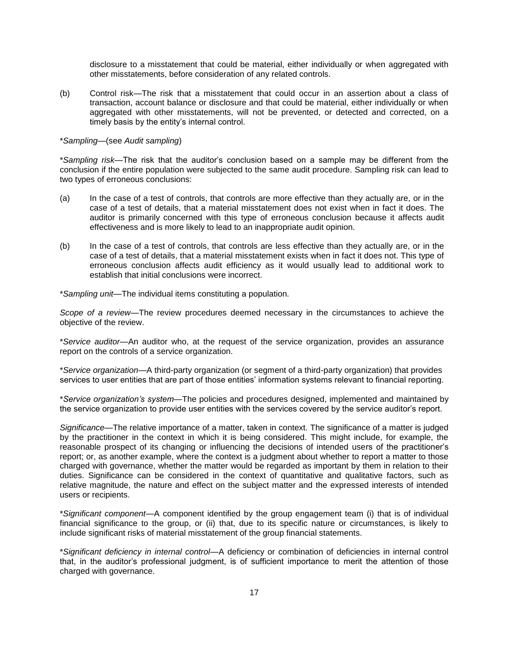disclosure to a misstatement that could be material, either individually or when aggregated with other misstatements, before consideration of any related controls.

(b) Control risk—The risk that a misstatement that could occur in an assertion about a class of transaction, account balance or disclosure and that could be material, either individually or when aggregated with other misstatements, will not be prevented, or detected and corrected, on a timely basis by the entity's internal control.

## \**Sampling—*(see *Audit sampling*)

\**Sampling risk*—The risk that the auditor's conclusion based on a sample may be different from the conclusion if the entire population were subjected to the same audit procedure. Sampling risk can lead to two types of erroneous conclusions:

- (a) In the case of a test of controls, that controls are more effective than they actually are, or in the case of a test of details, that a material misstatement does not exist when in fact it does. The auditor is primarily concerned with this type of erroneous conclusion because it affects audit effectiveness and is more likely to lead to an inappropriate audit opinion.
- (b) In the case of a test of controls, that controls are less effective than they actually are, or in the case of a test of details, that a material misstatement exists when in fact it does not. This type of erroneous conclusion affects audit efficiency as it would usually lead to additional work to establish that initial conclusions were incorrect.

\**Sampling unit*—The individual items constituting a population.

*Scope of a review*—The review procedures deemed necessary in the circumstances to achieve the objective of the review.

\**Service auditor*—An auditor who, at the request of the service organization, provides an assurance report on the controls of a service organization.

\**Service organization*—A third-party organization (or segment of a third-party organization) that provides services to user entities that are part of those entities' information systems relevant to financial reporting.

\**Service organization's system*—The policies and procedures designed, implemented and maintained by the service organization to provide user entities with the services covered by the service auditor's report.

*Significance*—The relative importance of a matter, taken in context. The significance of a matter is judged by the practitioner in the context in which it is being considered. This might include, for example, the reasonable prospect of its changing or influencing the decisions of intended users of the practitioner's report; or, as another example, where the context is a judgment about whether to report a matter to those charged with governance, whether the matter would be regarded as important by them in relation to their duties. Significance can be considered in the context of quantitative and qualitative factors, such as relative magnitude, the nature and effect on the subject matter and the expressed interests of intended users or recipients.

\**Significant component*—A component identified by the group engagement team (i) that is of individual financial significance to the group, or (ii) that, due to its specific nature or circumstances, is likely to include significant risks of material misstatement of the group financial statements.

\**Significant deficiency in internal control*—A deficiency or combination of deficiencies in internal control that, in the auditor's professional judgment, is of sufficient importance to merit the attention of those charged with governance.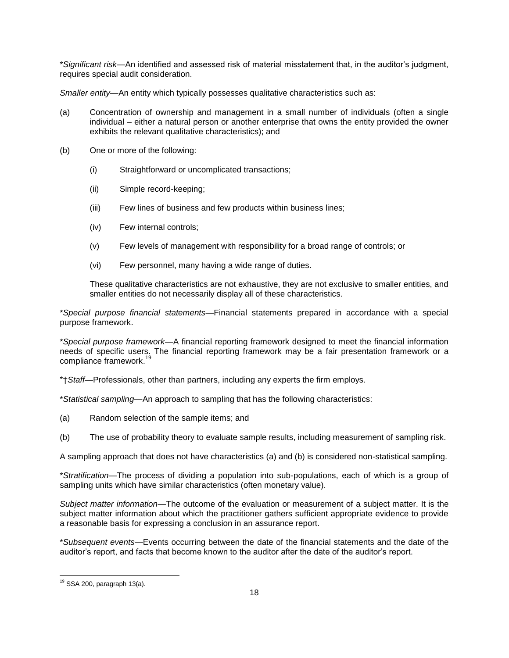\**Significant risk—*An identified and assessed risk of material misstatement that, in the auditor's judgment, requires special audit consideration.

*Smaller entity*—An entity which typically possesses qualitative characteristics such as:

- (a) Concentration of ownership and management in a small number of individuals (often a single individual – either a natural person or another enterprise that owns the entity provided the owner exhibits the relevant qualitative characteristics); and
- (b) One or more of the following:
	- (i) Straightforward or uncomplicated transactions;
	- (ii) Simple record-keeping;
	- (iii) Few lines of business and few products within business lines;
	- (iv) Few internal controls;
	- (v) Few levels of management with responsibility for a broad range of controls; or
	- (vi) Few personnel, many having a wide range of duties.

These qualitative characteristics are not exhaustive, they are not exclusive to smaller entities, and smaller entities do not necessarily display all of these characteristics.

\**Special purpose financial statements*—Financial statements prepared in accordance with a special purpose framework.

\**Special purpose framework*—A financial reporting framework designed to meet the financial information needs of specific users. The financial reporting framework may be a fair presentation framework or a compliance framework.<sup>1</sup>

\*†*Staff*—Professionals, other than partners, including any experts the firm employs.

\**Statistical sampling*—An approach to sampling that has the following characteristics:

- (a) Random selection of the sample items; and
- (b) The use of probability theory to evaluate sample results, including measurement of sampling risk.

A sampling approach that does not have characteristics (a) and (b) is considered non-statistical sampling.

\**Stratification*—The process of dividing a population into sub-populations, each of which is a group of sampling units which have similar characteristics (often monetary value).

*Subject matter information*—The outcome of the evaluation or measurement of a subject matter. It is the subject matter information about which the practitioner gathers sufficient appropriate evidence to provide a reasonable basis for expressing a conclusion in an assurance report.

\**Subsequent events*—Events occurring between the date of the financial statements and the date of the auditor's report, and facts that become known to the auditor after the date of the auditor's report.

 $19$  SSA 200, paragraph 13(a).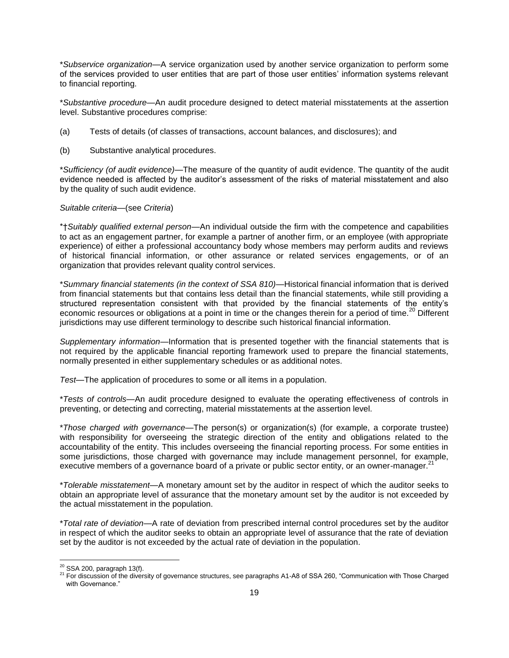\**Subservice organization*—A service organization used by another service organization to perform some of the services provided to user entities that are part of those user entities' information systems relevant to financial reporting.

\**Substantive procedure*—An audit procedure designed to detect material misstatements at the assertion level. Substantive procedures comprise:

- (a) Tests of details (of classes of transactions, account balances, and disclosures); and
- (b) Substantive analytical procedures.

\**Sufficiency (of audit evidence)*—The measure of the quantity of audit evidence. The quantity of the audit evidence needed is affected by the auditor's assessment of the risks of material misstatement and also by the quality of such audit evidence.

# *Suitable criteria*—(see *Criteria*)

\*†*Suitably qualified external person*—An individual outside the firm with the competence and capabilities to act as an engagement partner, for example a partner of another firm, or an employee (with appropriate experience) of either a professional accountancy body whose members may perform audits and reviews of historical financial information, or other assurance or related services engagements, or of an organization that provides relevant quality control services.

\**Summary financial statements (in the context of SSA 810)*—Historical financial information that is derived from financial statements but that contains less detail than the financial statements, while still providing a structured representation consistent with that provided by the financial statements of the entity's economic resources or obligations at a point in time or the changes therein for a period of time.<sup>20</sup> Different jurisdictions may use different terminology to describe such historical financial information.

*Supplementary information*—Information that is presented together with the financial statements that is not required by the applicable financial reporting framework used to prepare the financial statements, normally presented in either supplementary schedules or as additional notes.

*Test*—The application of procedures to some or all items in a population.

\**Tests of controls*—An audit procedure designed to evaluate the operating effectiveness of controls in preventing, or detecting and correcting, material misstatements at the assertion level.

\**Those charged with governance*—The person(s) or organization(s) (for example, a corporate trustee) with responsibility for overseeing the strategic direction of the entity and obligations related to the accountability of the entity. This includes overseeing the financial reporting process. For some entities in some jurisdictions, those charged with governance may include management personnel, for example, executive members of a governance board of a private or public sector entity, or an owner-manager.<sup>21</sup>

\**Tolerable misstatement*—A monetary amount set by the auditor in respect of which the auditor seeks to obtain an appropriate level of assurance that the monetary amount set by the auditor is not exceeded by the actual misstatement in the population.

\**Total rate of deviation*—A rate of deviation from prescribed internal control procedures set by the auditor in respect of which the auditor seeks to obtain an appropriate level of assurance that the rate of deviation set by the auditor is not exceeded by the actual rate of deviation in the population.

 $20$  SSA 200, paragraph 13(f).

<sup>&</sup>lt;sup>21</sup> For discussion of the diversity of governance structures, see paragraphs A1-A8 of SSA 260, "Communication with Those Charged with Governance."